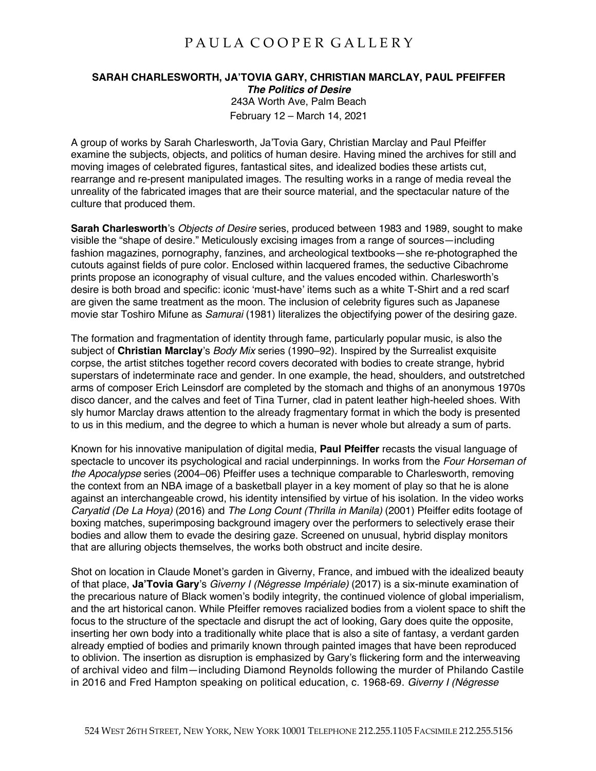## PAULA COOPER GALLERY

## **SARAH CHARLESWORTH, JA'TOVIA GARY, CHRISTIAN MARCLAY, PAUL PFEIFFER** *The Politics of Desire* 243A Worth Ave, Palm Beach February 12 – March 14, 2021

A group of works by Sarah Charlesworth, Ja'Tovia Gary, Christian Marclay and Paul Pfeiffer examine the subjects, objects, and politics of human desire. Having mined the archives for still and moving images of celebrated figures, fantastical sites, and idealized bodies these artists cut, rearrange and re-present manipulated images. The resulting works in a range of media reveal the unreality of the fabricated images that are their source material, and the spectacular nature of the culture that produced them.

**Sarah Charlesworth**'s *Objects of Desire* series, produced between 1983 and 1989, sought to make visible the "shape of desire." Meticulously excising images from a range of sources—including fashion magazines, pornography, fanzines, and archeological textbooks—she re-photographed the cutouts against fields of pure color. Enclosed within lacquered frames, the seductive Cibachrome prints propose an iconography of visual culture, and the values encoded within. Charlesworth's desire is both broad and specific: iconic 'must-have' items such as a white T-Shirt and a red scarf are given the same treatment as the moon. The inclusion of celebrity figures such as Japanese movie star Toshiro Mifune as *Samurai* (1981) literalizes the objectifying power of the desiring gaze.

The formation and fragmentation of identity through fame, particularly popular music, is also the subject of **Christian Marclay**'s *Body Mix* series (1990–92). Inspired by the Surrealist exquisite corpse, the artist stitches together record covers decorated with bodies to create strange, hybrid superstars of indeterminate race and gender. In one example, the head, shoulders, and outstretched arms of composer Erich Leinsdorf are completed by the stomach and thighs of an anonymous 1970s disco dancer, and the calves and feet of Tina Turner, clad in patent leather high-heeled shoes. With sly humor Marclay draws attention to the already fragmentary format in which the body is presented to us in this medium, and the degree to which a human is never whole but already a sum of parts.

Known for his innovative manipulation of digital media, **Paul Pfeiffer** recasts the visual language of spectacle to uncover its psychological and racial underpinnings. In works from the *Four Horseman of the Apocalypse* series (2004–06) Pfeiffer uses a technique comparable to Charlesworth, removing the context from an NBA image of a basketball player in a key moment of play so that he is alone against an interchangeable crowd, his identity intensified by virtue of his isolation. In the video works *Caryatid (De La Hoya)* (2016) and *The Long Count (Thrilla in Manila)* (2001) Pfeiffer edits footage of boxing matches, superimposing background imagery over the performers to selectively erase their bodies and allow them to evade the desiring gaze. Screened on unusual, hybrid display monitors that are alluring objects themselves, the works both obstruct and incite desire.

Shot on location in Claude Monet's garden in Giverny, France, and imbued with the idealized beauty of that place, **Ja'Tovia Gary**'s *Giverny I (Négresse Impériale)* (2017) is a six-minute examination of the precarious nature of Black women's bodily integrity, the continued violence of global imperialism, and the art historical canon. While Pfeiffer removes racialized bodies from a violent space to shift the focus to the structure of the spectacle and disrupt the act of looking, Gary does quite the opposite, inserting her own body into a traditionally white place that is also a site of fantasy, a verdant garden already emptied of bodies and primarily known through painted images that have been reproduced to oblivion. The insertion as disruption is emphasized by Gary's flickering form and the interweaving of archival video and film—including Diamond Reynolds following the murder of Philando Castile in 2016 and Fred Hampton speaking on political education, c. 1968-69. *Giverny I (Négresse*